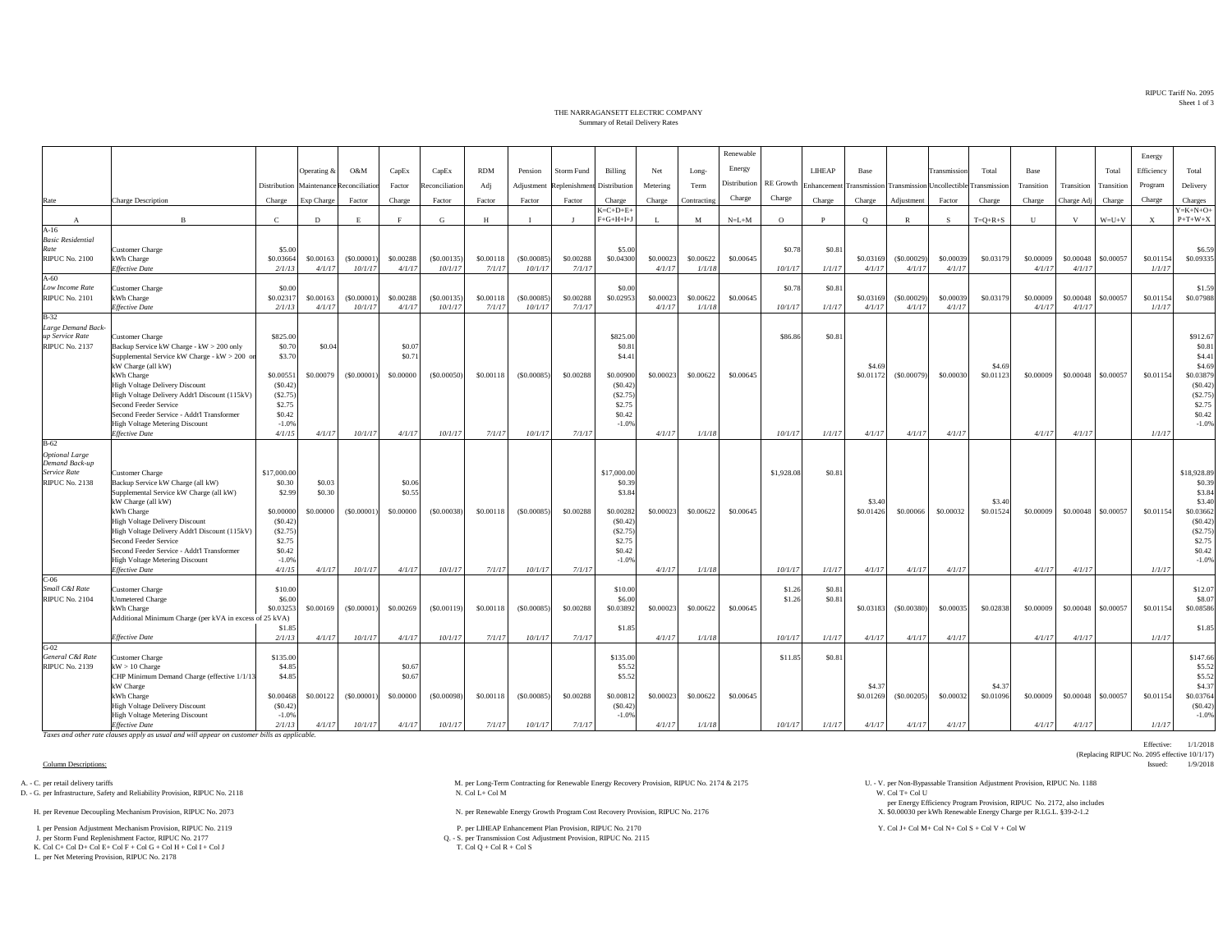RIPUC Tariff No. 2095Sheet 1 of 3

## THE NARRAGANSETT ELECTRIC COMPANYSummary of Retail Delivery Rates

|                                         |                                                                                          |                      |                            |                       |                     |                       |                     |                       |                     |                             |                     |                     | Renewable    |            |             |                     |                                         |                     |              |                     |                     |             | Energy                    |                                 |
|-----------------------------------------|------------------------------------------------------------------------------------------|----------------------|----------------------------|-----------------------|---------------------|-----------------------|---------------------|-----------------------|---------------------|-----------------------------|---------------------|---------------------|--------------|------------|-------------|---------------------|-----------------------------------------|---------------------|--------------|---------------------|---------------------|-------------|---------------------------|---------------------------------|
|                                         |                                                                                          |                      | Operating &                | O&M                   | CapEx               | CapEx                 | <b>RDM</b>          | Pension               | <b>Storm Fund</b>   | Billing                     | Net                 | Long-               | Energy       |            | LIHEAP      | Base                |                                         | <b>Transmission</b> | Total        | Base                |                     | Total       | Efficiency                | Total                           |
|                                         |                                                                                          | Distribution         | Maintenance Reconciliation |                       | Factor              | Reconciliation        | Adj                 | Adjustment            | Replenishmen        | Distribution                | Metering            | Term                | Distribution | RE Growth  | Enhancement |                     | Transmission Transmission Uncollectible |                     | Transmission | Transition          | Transition          | Transition  | Program                   | Delivery                        |
|                                         |                                                                                          |                      |                            |                       |                     |                       |                     |                       |                     |                             |                     |                     | Charge       | Charge     |             |                     |                                         |                     |              |                     |                     |             |                           |                                 |
| Rate                                    | Charge Description                                                                       | Charge               | Exp Charge                 | Factor                | Charge              | Factor                | Factor              | Factor                | Factor              | Charge<br>$K = C + D + E +$ | Charge              | Contracting         |              |            | Charge      | Charge              | Adjustment                              | Factor              | Charge       | Charge              | Charge Adj          | Charge      | Charge                    | Charges<br>$Y = K + N + O +$    |
| $\mathbf{A}$                            | $\mathbf{B}$                                                                             | $\mathbf{C}$         | D                          | E                     |                     | G                     | H                   |                       |                     | $F+G+H+I+J$                 |                     | M                   | $N=L+M$      | $\circ$    | P           | $\circ$             | $\mathbb{R}$                            | S                   | $T=Q+R+S$    | U                   | v                   | $W = U + V$ | $\boldsymbol{\mathrm{X}}$ | $P+T+W+X$                       |
| $A-16$                                  |                                                                                          |                      |                            |                       |                     |                       |                     |                       |                     |                             |                     |                     |              |            |             |                     |                                         |                     |              |                     |                     |             |                           |                                 |
| <b>Basic Residential</b><br>Rate        |                                                                                          | \$5.00               |                            |                       |                     |                       |                     |                       |                     | \$5.00                      |                     |                     |              | \$0.78     |             |                     |                                         |                     |              |                     |                     |             |                           | \$6.59                          |
| <b>RIPUC No. 2100</b>                   | <b>Customer Charge</b><br>kWh Charge                                                     | \$0.03664            | \$0,00163                  | (S0.00001)            | \$0,00288           | (S0.00135)            | \$0,00118           | (S0,00085)            | \$0.00288           | \$0,04300                   | \$0,00023           | \$0,00622           | \$0,00645    |            | \$0.81      | \$0,03169           | (\$0.00029)                             | \$0,00039           | \$0,03179    | \$0,00009           | \$0,00048           | \$0,00057   | \$0.01154                 | \$0.09335                       |
|                                         | Effective Date                                                                           | 2/1/13               | 4/1/17                     | 10/1/17               | 4/1/17              | 10/1/17               | 7/1/17              | 10/1/17               | 7/1/17              |                             | 4/1/17              | 1/1/18              |              | 10/1/17    | 1/1/17      | 4/1/17              | 4/1/17                                  | 4/1/17              |              | 4/1/17              | 4/1/17              |             | 1/1/17                    |                                 |
| $A-60$                                  |                                                                                          |                      |                            |                       |                     |                       |                     |                       |                     |                             |                     |                     |              |            |             |                     |                                         |                     |              |                     |                     |             |                           |                                 |
| Low Income Rate                         | <b>Customer Charge</b>                                                                   | \$0.00               |                            |                       |                     |                       |                     |                       |                     | \$0.00                      |                     |                     |              | \$0.78     | \$0.81      |                     |                                         |                     |              |                     |                     |             |                           | \$1.59                          |
| <b>RIPUC No. 2101</b>                   | kWh Charge<br><b>Effective Date</b>                                                      | \$0.0231<br>2/1/13   | \$0,00163<br>4/1/17        | (S0.00001)<br>10/1/17 | \$0,00288<br>4/1/17 | (S0.00135)<br>10/1/17 | \$0,00118<br>7/1/17 | (S0,00085)<br>10/1/17 | \$0.00288<br>7/1/17 | \$0.02953                   | \$0,00023<br>4/1/17 | \$0.00622<br>1/1/18 | \$0,00645    | 10/1/17    | 1/1/17      | \$0.03169<br>4/1/17 | (S0.00029)<br>4/1/17                    | \$0,00039<br>4/1/17 | \$0.03179    | \$0,00009<br>4/1/17 | \$0,00048<br>4/1/17 | \$0,00057   | \$0.01154<br>1/1/17       | \$0.07988                       |
| $B-32$                                  |                                                                                          |                      |                            |                       |                     |                       |                     |                       |                     |                             |                     |                     |              |            |             |                     |                                         |                     |              |                     |                     |             |                           |                                 |
| Large Demand Back-                      |                                                                                          |                      |                            |                       |                     |                       |                     |                       |                     |                             |                     |                     |              |            |             |                     |                                         |                     |              |                     |                     |             |                           |                                 |
| up Service Rate                         | Customer Charge                                                                          | \$825.00             |                            |                       |                     |                       |                     |                       |                     | \$825.00                    |                     |                     |              | \$86.8     | \$0.81      |                     |                                         |                     |              |                     |                     |             |                           | \$912.67                        |
| <b>RIPUC No. 2137</b>                   | Backup Service kW Charge - kW > 200 only<br>Supplemental Service kW Charge - kW > 200 on | \$0.70<br>\$3.70     | \$0.04                     |                       | \$0.07<br>\$0.71    |                       |                     |                       |                     | \$0.81<br>\$4.41            |                     |                     |              |            |             |                     |                                         |                     |              |                     |                     |             |                           | \$0.81<br>\$4.41                |
|                                         | kW Charge (all kW)                                                                       |                      |                            |                       |                     |                       |                     |                       |                     |                             |                     |                     |              |            |             | \$4.69              |                                         |                     | \$4.69       |                     |                     |             |                           | \$4.69                          |
|                                         | kWh Charge                                                                               | \$0,00551            | \$0,00079                  | (S0,00001)            | \$0,00000           | $($ \$0,00050)        | \$0,00118           | (S0.00085)            | \$0,00288           | \$0,00900                   | \$0,00023           | \$0,00622           | \$0,00645    |            |             | \$0.01172           | (S0.00079)                              | \$0,00030           | \$0.01123    | \$0,00009           | \$0,00048           | \$0,00057   | \$0,01154                 | \$0.03879                       |
|                                         | <b>High Voltage Delivery Discount</b>                                                    | (S0.42)              |                            |                       |                     |                       |                     |                       |                     | (S0.42)                     |                     |                     |              |            |             |                     |                                         |                     |              |                     |                     |             |                           | (S0.42)                         |
|                                         | High Voltage Delivery Addt'l Discount (115kV)<br>Second Feeder Service                   | (S2.75)<br>\$2.75    |                            |                       |                     |                       |                     |                       |                     | (S2.75)<br>\$2.75           |                     |                     |              |            |             |                     |                                         |                     |              |                     |                     |             |                           | (S2.75)<br>\$2.75               |
|                                         | Second Feeder Service - Addt'l Transformer                                               | \$0.42               |                            |                       |                     |                       |                     |                       |                     | \$0.42                      |                     |                     |              |            |             |                     |                                         |                     |              |                     |                     |             |                           | \$0.42                          |
|                                         | <b>High Voltage Metering Discount</b>                                                    | $-1.0%$              |                            |                       |                     |                       |                     |                       |                     | $-1.0%$                     |                     |                     |              |            |             |                     |                                         |                     |              |                     |                     |             |                           | $-1.0%$                         |
|                                         | <b>Effective Date</b>                                                                    | 4/1/15               | 4/1/17                     | 10/1/17               | 4/1/17              | 10/1/17               | 7/1/17              | 10/1/17               | 7/1/17              |                             | 4/1/17              | 1/1/18              |              | 10/1/17    | 1/1/17      | 4/1/17              | 4/1/17                                  | 4/1/17              |              | 4/1/17              | 4/1/17              |             | 1/1/17                    |                                 |
| $B-62$                                  |                                                                                          |                      |                            |                       |                     |                       |                     |                       |                     |                             |                     |                     |              |            |             |                     |                                         |                     |              |                     |                     |             |                           |                                 |
| <b>Optional Large</b><br>Demand Back-up |                                                                                          |                      |                            |                       |                     |                       |                     |                       |                     |                             |                     |                     |              |            |             |                     |                                         |                     |              |                     |                     |             |                           |                                 |
| Service Rate                            | Customer Charge                                                                          | \$17,000.00          |                            |                       |                     |                       |                     |                       |                     | \$17,000.00                 |                     |                     |              | \$1,928.08 | \$0.81      |                     |                                         |                     |              |                     |                     |             |                           | \$18,928.89                     |
| <b>RIPUC No. 2138</b>                   | Backup Service kW Charge (all kW)                                                        |                      |                            |                       |                     |                       |                     |                       |                     |                             |                     |                     |              |            |             |                     |                                         |                     |              |                     |                     |             |                           |                                 |
|                                         |                                                                                          | \$0.30               | \$0.03                     |                       | \$0.06              |                       |                     |                       |                     | \$0.39                      |                     |                     |              |            |             |                     |                                         |                     |              |                     |                     |             |                           | \$0.39                          |
|                                         | Supplemental Service kW Charge (all kW)                                                  | \$2.99               | \$0.30                     |                       | \$0.55              |                       |                     |                       |                     | \$3.84                      |                     |                     |              |            |             |                     |                                         |                     |              |                     |                     |             |                           | \$3.84                          |
|                                         | kW Charge (all kW)                                                                       |                      |                            |                       |                     |                       |                     |                       |                     |                             |                     |                     |              |            |             | \$3.40              |                                         |                     | \$3.40       |                     |                     |             |                           | \$3.40                          |
|                                         | kWh Charge<br>High Voltage Delivery Discount                                             | \$0.00000<br>(S0.42) | \$0.00000                  | (S0.00001)            | \$0.00000           | $($ \$0.00038)        | \$0.00118           | (S0.00085)            | \$0.00288           | \$0.00282<br>(S0.42)        | \$0,00023           | \$0.00622           | \$0.00645    |            |             | \$0.01426           | \$0.00066                               | \$0.00032           | \$0.01524    | \$0.00009           | \$0.00048           | \$0.00057   | \$0.01154                 | \$0.03662<br>(S0.42)            |
|                                         | High Voltage Delivery Addt'l Discount (115kV)                                            | (S2.75)              |                            |                       |                     |                       |                     |                       |                     | (S2.75)                     |                     |                     |              |            |             |                     |                                         |                     |              |                     |                     |             |                           | (S2.75)                         |
|                                         | Second Feeder Service                                                                    | \$2.75               |                            |                       |                     |                       |                     |                       |                     | \$2.75                      |                     |                     |              |            |             |                     |                                         |                     |              |                     |                     |             |                           | \$2.75                          |
|                                         | Second Feeder Service - Addt'l Transformer                                               | \$0.42               |                            |                       |                     |                       |                     |                       |                     | \$0.42                      |                     |                     |              |            |             |                     |                                         |                     |              |                     |                     |             |                           | \$0.42                          |
|                                         | <b>High Voltage Metering Discount</b><br><b>Effective Date</b>                           | $-1.0%$<br>4/1/15    | 4/1/17                     | 10/1/17               | 4/1/17              | 10/1/17               | 7/1/17              | 10/1/17               | 7/1/17              | $-1.0%$                     | 4/1/17              | 1/1/18              |              | 10/1/17    | 1/1/17      | 4/1/17              | 4/1/17                                  | 4/1/17              |              | 4/1/17              | 4/1/17              |             | 1/1/17                    | $-1.0%$                         |
| $C-06$                                  |                                                                                          |                      |                            |                       |                     |                       |                     |                       |                     |                             |                     |                     |              |            |             |                     |                                         |                     |              |                     |                     |             |                           |                                 |
| Small C&I Rate                          | <b>Customer Charge</b>                                                                   | \$10.00              |                            |                       |                     |                       |                     |                       |                     | \$10.00                     |                     |                     |              | \$1.26     | \$0.81      |                     |                                         |                     |              |                     |                     |             |                           | \$12.07                         |
| <b>RIPUC No. 2104</b>                   | Unmetered Charge                                                                         | \$6.00               |                            |                       |                     |                       |                     |                       |                     | \$6.00                      |                     |                     |              | \$1.26     | \$0.81      |                     |                                         |                     |              |                     |                     |             |                           | \$8.07                          |
|                                         | kWh Charge                                                                               | \$0.03253            | \$0,00169                  | (S0,00001)            | \$0,00269           | (50,00119)            | \$0,00118           | (S0.00085)            | \$0,00288           | \$0.03892                   | \$0.00023           | \$0,00622           | \$0,00645    |            |             | \$0.03183           | $($ \$0,00380)                          | \$0,00035           | \$0.02838    | \$0,00009           | \$0,00048           | \$0,00057   | \$0,01154                 | \$0.08586                       |
|                                         | Additional Minimum Charge (per kVA in excess of 25 kVA)                                  | \$1.85               |                            |                       |                     |                       |                     |                       |                     | \$1.85                      |                     |                     |              |            |             |                     |                                         |                     |              |                     |                     |             |                           | \$1.85                          |
|                                         | Effective Date                                                                           | 2/1/13               | 4/1/17                     | 10/1/17               | 4/1/17              | 10/1/17               | 7/1/17              | 10/1/17               | 7/1/17              |                             | 4/1/17              | 1/1/18              |              | 10/1/17    | 1/1/17      | 4/1/17              | 4/1/17                                  | 4/1/17              |              | 4/1/17              | 4/1/17              |             | 1/1/17                    |                                 |
| $G-02$                                  |                                                                                          |                      |                            |                       |                     |                       |                     |                       |                     |                             |                     |                     |              |            |             |                     |                                         |                     |              |                     |                     |             |                           |                                 |
| General C&I Rate                        | Customer Charge                                                                          | \$135.00             |                            |                       |                     |                       |                     |                       |                     | \$135.00                    |                     |                     |              | \$11.85    | \$0.81      |                     |                                         |                     |              |                     |                     |             |                           | \$147.66                        |
| <b>RIPUC No. 2139</b>                   | $kW > 10$ Charge<br>CHP Minimum Demand Charge (effective 1/1/13                          | \$4.85<br>\$4.85     |                            |                       | \$0.67<br>\$0.67    |                       |                     |                       |                     | \$5.52<br>\$5.52            |                     |                     |              |            |             |                     |                                         |                     |              |                     |                     |             |                           | \$5.52<br>\$5.52                |
|                                         | kW Charge                                                                                |                      |                            |                       |                     |                       |                     |                       |                     |                             |                     |                     |              |            |             | \$4.37              |                                         |                     | \$4.37       |                     |                     |             |                           | \$4.37                          |
|                                         | kWh Charge                                                                               | \$0,00468            | \$0.00122                  | (S0.00001)            | \$0.00000           | $($ \$0,00098)        | \$0.00118           | (S0.00085)            | \$0.00288           | \$0,00812                   | \$0.00023           | \$0.00622           | \$0.00645    |            |             | \$0.01269           | (S0.00205)                              | \$0,00032           | \$0.01096    | \$0.00009           | \$0.00048           | \$0,00057   | \$0.01154                 |                                 |
|                                         | High Voltage Delivery Discount<br><b>High Voltage Metering Discount</b>                  | (S0.42)<br>$-1.0%$   |                            |                       |                     |                       |                     |                       |                     | (S0.42)<br>$-1.0%$          |                     |                     |              |            |             |                     |                                         |                     |              |                     |                     |             |                           | \$0.03764<br>(S0.42)<br>$-1.0%$ |

*Taxes and other rate clauses apply as usual and will appear on customer bills as applicable.*

D. - G. per Infrastructure, Safety and Reliability Provision, RIPUC No. 2118

K. Col C+ Col D+ Col E+ Col F + Col G + Col H + Col I + Col J

L. per Net Metering Provision, RIPUC No. 2178

A. - C. per retail delivery tariffs M. per Long-Term Contracting for Renewable Energy Recovery Provision, RIPUC No. 2174 & 2175 U. - V. per Non-Bypassable Transition Adjustment Provision, RIPUC No. 1188 N. Col L+ Col M N.

H. per Renewable Energy Growth Program Cost Recovery Provision, RIPUC No. 2176 N. per Renewable Energy Growth Program Cost Recovery Provision, RIPUC No. 2176

I. per Pension Adjustment Mechanism Provision, RIPUC No. 2119 P. per LIHEAP Enhancement Plan Provision, RIPUC No. 2170 Y. Col J+ Col M+ Col N+ Col N+ Col S + Col V + Col W+ Col W+ Col W+ Col W+ Col W+ Col W+ Col W+ Col W+ Q. - S. per Transmission Cost Adjustment Provision, RIPUC No. 2115<br>T. Col Q + Col R + Col S

per Energy Efficiency Program Provision, RIPUC No. 2172, also includes \$0.00030 per kWh Renewable Energy Charge per R.I.G.L. §39-2-1.2

Effective: 1/1/2018 (Replacing RIPUC No. 2095 effective 10/1/17)<br>Issued: 1/9/2018

Column Descriptions: Issued: 1/9/2018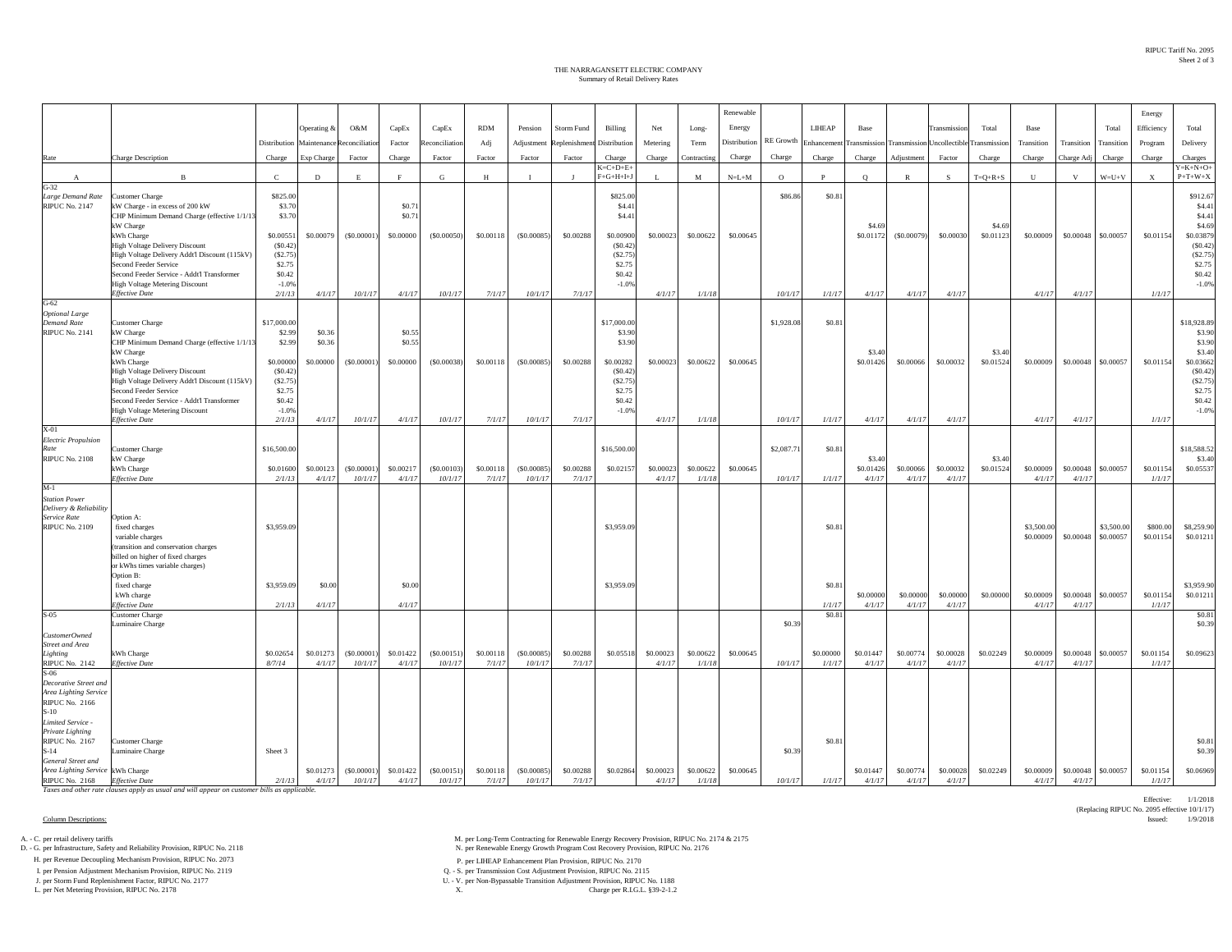## Summary of Retail Delivery Rates THE NARRAGANSETT ELECTRIC COMPANY

|                                       |                                                                                              |                       |             |                       |                     |                |            |                       |                     |                       |           |                     | Renewable    |            |            |             |              |                                                |                     |             |                     |                     | Energy                    |                         |
|---------------------------------------|----------------------------------------------------------------------------------------------|-----------------------|-------------|-----------------------|---------------------|----------------|------------|-----------------------|---------------------|-----------------------|-----------|---------------------|--------------|------------|------------|-------------|--------------|------------------------------------------------|---------------------|-------------|---------------------|---------------------|---------------------------|-------------------------|
|                                       |                                                                                              |                       | Operating & | O&M                   | CapEx               | CapEx          | <b>RDM</b> | Pension               | <b>Storm Fund</b>   | Billing               | Net       | Long-               | Energy       |            | LIHEAP     | <b>Base</b> |              | Transmissio                                    | Total               | <b>Base</b> |                     | Total               | Efficiency                | Total                   |
|                                       |                                                                                              | Distribution          | Maintenance | econciliatio          | Factor              | econciliation  | Adj        | Adjustment            | teplenishmer        | Distribution          | Metering  | Term                | Distribution | RE Growth  | Enhancemen |             |              | <b>Transmission Transmission Uncollectible</b> | <b>Transmission</b> | Transition  | Transition          | Transition          | Program                   | Delivery                |
| Rate                                  | <b>Charge Description</b>                                                                    | Charge                | Exp Charge  | Factor                | Charge              | Factor         | Factor     | Factor                | Factor              | Charge                | Charge    | Contracting         | Charge       | Charge     | Charge     | Charge      | Adjustment   | Factor                                         | Charge              | Charge      | Charge Adj          | Charge              | Charge                    | Charges                 |
|                                       |                                                                                              |                       |             |                       |                     |                |            |                       |                     | $K = C + D + E +$     |           |                     |              |            |            |             |              |                                                |                     |             |                     |                     |                           | $Y = K + N + O +$       |
| $G-32$                                | $\overline{R}$                                                                               | $\epsilon$            | D           | E                     | F                   | G              | H          | $\mathbf{r}$          |                     | $F+G+H+I+J$           |           | M                   | $N=L+M$      | $\circ$    | P          | $\circ$     | $\mathbb{R}$ | -S                                             | $T = Q + R + S$     | U           | v                   | $W = U + V$         | $\boldsymbol{\mathrm{x}}$ | $P+T+W+X$               |
| Large Demand Rate                     | <b>Customer Charge</b>                                                                       | \$825.00              |             |                       |                     |                |            |                       |                     | \$825.00              |           |                     |              | \$86.86    | \$0.8      |             |              |                                                |                     |             |                     |                     |                           | \$912.67                |
| <b>RIPUC No. 2147</b>                 | kW Charge - in excess of 200 kW                                                              | \$3.70                |             |                       | \$0.7               |                |            |                       |                     | \$4.41                |           |                     |              |            |            |             |              |                                                |                     |             |                     |                     |                           | \$4.41                  |
|                                       | CHP Minimum Demand Charge (effective 1/1/13<br>kW Charge                                     | \$3.70                |             |                       | \$0.7               |                |            |                       |                     | \$4.41                |           |                     |              |            |            | \$4.69      |              |                                                | \$4.69              |             |                     |                     |                           | \$4.41<br>\$4.69        |
|                                       | kWh Charge                                                                                   | \$0.0055              | \$0.00079   | (S0.00001)            | \$0.00000           | $($ \$0.00050) | \$0.00118  | (S0.00085)            | \$0.00288           | \$0.00900             | \$0.00023 | \$0.00622           | \$0.00645    |            |            | \$0.01172   | (S0.00079)   | \$0.00030                                      | \$0.01123           | \$0.00009   | \$0.00048           | \$0.00057           | \$0.01154                 | \$0.03879               |
|                                       | <b>High Voltage Delivery Discount</b>                                                        | (S0.42)               |             |                       |                     |                |            |                       |                     | (S0.42)               |           |                     |              |            |            |             |              |                                                |                     |             |                     |                     |                           | (S0.42)                 |
|                                       | High Voltage Delivery Addt'l Discount (115kV)<br>Second Feeder Service                       | (S2.75)<br>\$2.75     |             |                       |                     |                |            |                       |                     | (S2.75)<br>\$2.75     |           |                     |              |            |            |             |              |                                                |                     |             |                     |                     |                           | (S2.75)<br>\$2.75       |
|                                       | Second Feeder Service - Addt'l Transformer                                                   | \$0.42                |             |                       |                     |                |            |                       |                     | \$0.42                |           |                     |              |            |            |             |              |                                                |                     |             |                     |                     |                           | \$0.42                  |
|                                       | <b>High Voltage Metering Discount</b>                                                        | $-1.0%$               |             |                       |                     |                |            |                       |                     | $-1.0%$               |           |                     |              |            |            |             |              |                                                |                     |             |                     |                     |                           | $-1.0%$                 |
| $G-62$                                | <b>Effective Date</b>                                                                        | 2/1/13                | 4/1/17      | 10/1/17               | 4/1/17              | 10/1/17        | 7/1/17     | 10/1/17               | 7/1/17              |                       | 4/1/17    | 1/1/18              |              | 10/1/17    | 1/1/17     | 4/1/17      | 4/1/17       | 4/1/17                                         |                     | 4/1/17      | 4/1/17              |                     | 1/1/17                    |                         |
| <b>Optional Large</b>                 |                                                                                              |                       |             |                       |                     |                |            |                       |                     |                       |           |                     |              |            |            |             |              |                                                |                     |             |                     |                     |                           |                         |
| <b>Demand Rate</b><br>RIPUC No. 2141  | <b>Customer Charge</b><br>kW Charge                                                          | \$17,000.00<br>\$2.99 | \$0.36      |                       | \$0.55              |                |            |                       |                     | \$17,000.00<br>\$3.90 |           |                     |              | \$1,928.08 | \$0.81     |             |              |                                                |                     |             |                     |                     |                           | \$18,928.89<br>\$3.90   |
|                                       | CHP Minimum Demand Charge (effective 1/1/13                                                  | \$2.99                | \$0.36      |                       | \$0.55              |                |            |                       |                     | \$3.90                |           |                     |              |            |            |             |              |                                                |                     |             |                     |                     |                           | \$3.90                  |
|                                       | kW Charge                                                                                    |                       |             |                       |                     |                |            |                       |                     |                       |           |                     |              |            |            | \$3.40      |              |                                                | \$3.40              |             |                     |                     |                           | \$3.40                  |
|                                       | kWh Charge                                                                                   | \$0.00000<br>(S0.42)  | \$0.00000   | (S0.00001)            | \$0.00000           | (S0.00038)     | \$0.00118  | (S0.00085)            | \$0.00288           | \$0.00282             | \$0.00023 | \$0.00622           | \$0.00645    |            |            | \$0.01426   | \$0.00066    | \$0.00032                                      | \$0.01524           | \$0.00009   | \$0.00048           | \$0.00057           | \$0.01154                 | \$0.03662<br>(S0.42)    |
|                                       | <b>High Voltage Delivery Discount</b><br>High Voltage Delivery Addt'l Discount (115kV)       | (\$2.75)              |             |                       |                     |                |            |                       |                     | (S0.42)<br>(S2.75)    |           |                     |              |            |            |             |              |                                                |                     |             |                     |                     |                           | (S2.75)                 |
|                                       | Second Feeder Service                                                                        | \$2.75                |             |                       |                     |                |            |                       |                     | \$2.75                |           |                     |              |            |            |             |              |                                                |                     |             |                     |                     |                           | \$2.75                  |
|                                       | Second Feeder Service - Addt'l Transformer<br><b>High Voltage Metering Discount</b>          | \$0.42<br>$-1.0%$     |             |                       |                     |                |            |                       |                     | \$0.42<br>$-1.0%$     |           |                     |              |            |            |             |              |                                                |                     |             |                     |                     |                           | \$0.42<br>$-1.0%$       |
|                                       | <b>Effective Date</b>                                                                        | 2/1/13                | 4/1/17      | 10/1/17               | 4/1/17              | 10/1/17        | 7/1/17     | 10/1/17               | 7/1/17              |                       | 4/1/17    | 1/1/18              |              | 10/1/17    | 1/1/17     | 4/1/17      | 4/1/17       | 4/1/17                                         |                     | 4/1/17      | 4/1/17              |                     | 1/1/17                    |                         |
| X-01                                  |                                                                                              |                       |             |                       |                     |                |            |                       |                     |                       |           |                     |              |            |            |             |              |                                                |                     |             |                     |                     |                           |                         |
| <b>Electric Propulsion</b><br>Rate    | <b>Customer Charge</b>                                                                       | \$16,500.00           |             |                       |                     |                |            |                       |                     | \$16,500.00           |           |                     |              | \$2,087.71 | \$0.8      |             |              |                                                |                     |             |                     |                     |                           | \$18,588.52             |
| <b>RIPUC No. 2108</b>                 | kW Charge                                                                                    |                       |             |                       |                     |                |            |                       |                     |                       |           |                     |              |            |            | \$3.40      |              |                                                | \$3.40              |             |                     |                     |                           | \$3.40                  |
|                                       | kWh Charge                                                                                   | \$0,01600             | \$0.00123   | (S0.00001)            | \$0.00217           | $($ \$0,00103) | \$0,00118  | (S0.00085)            | \$0,00288           | \$0.02157             | \$0.00023 | \$0.00622           | \$0.00645    |            |            | \$0.01426   | \$0,00066    | \$0,00032                                      | \$0.01524           | \$0,00009   |                     | \$0.00048 \$0.00057 | \$0.01154                 | \$0,05537               |
| $M-1$                                 | <b>Effective Date</b>                                                                        | 2/1/13                | 4/1/17      | 10/1/17               | 4/1/17              | 10/1/17        | 7/1/17     | 10/1/17               | 7/1/17              |                       | 4/1/17    | 1/1/18              |              | 10/1/17    | 1/1/17     | 4/1/17      | 4/1/17       | 4/1/17                                         |                     | 4/1/17      | 4/1/17              |                     | 1/1/17                    |                         |
| <b>Station Power</b>                  |                                                                                              |                       |             |                       |                     |                |            |                       |                     |                       |           |                     |              |            |            |             |              |                                                |                     |             |                     |                     |                           |                         |
| Delivery & Reliability                |                                                                                              |                       |             |                       |                     |                |            |                       |                     |                       |           |                     |              |            |            |             |              |                                                |                     |             |                     |                     |                           |                         |
| Service Rate<br><b>RIPUC No. 2109</b> | Option A:<br>fixed charges                                                                   | \$3,959.09            |             |                       |                     |                |            |                       |                     | \$3,959.09            |           |                     |              |            | \$0.8      |             |              |                                                |                     | \$3,500.00  |                     | \$3,500.00          | \$800.00                  | \$8,259.90              |
|                                       | variable charges                                                                             |                       |             |                       |                     |                |            |                       |                     |                       |           |                     |              |            |            |             |              |                                                |                     | \$0.00009   | \$0.00048           | \$0.00057           | \$0.01154                 | \$0.01211               |
|                                       | (transition and conservation charges                                                         |                       |             |                       |                     |                |            |                       |                     |                       |           |                     |              |            |            |             |              |                                                |                     |             |                     |                     |                           |                         |
|                                       | billed on higher of fixed charges<br>or kWhs times variable charges)                         |                       |             |                       |                     |                |            |                       |                     |                       |           |                     |              |            |            |             |              |                                                |                     |             |                     |                     |                           |                         |
|                                       | Option B:                                                                                    |                       |             |                       |                     |                |            |                       |                     |                       |           |                     |              |            |            |             |              |                                                |                     |             |                     |                     |                           |                         |
|                                       | fixed charge<br>kWh charge                                                                   | \$3,959.09            | \$0.00      |                       | \$0.00              |                |            |                       |                     | \$3,959.09            |           |                     |              |            | \$0.81     | \$0,00000   | \$0,00000    | \$0,00000                                      | \$0,00000           | \$0,00009   | \$0,00048           | \$0,00057           | \$0.01154                 | \$3,959.90<br>\$0.01211 |
|                                       | Effective Date                                                                               | 2/1/13                | 4/1/17      |                       | 4/1/17              |                |            |                       |                     |                       |           |                     |              |            | 1/1/17     | 4/1/17      | 4/1/17       | 4/1/17                                         |                     | 4/1/17      | 4/1/17              |                     | 1/1/17                    |                         |
| $S-05$                                | <b>Customer Charge</b>                                                                       |                       |             |                       |                     |                |            |                       |                     |                       |           |                     |              |            | \$0.8      |             |              |                                                |                     |             |                     |                     |                           | \$0.81                  |
| CustomerOwned                         | Luminaire Charge                                                                             |                       |             |                       |                     |                |            |                       |                     |                       |           |                     |              | \$0.39     |            |             |              |                                                |                     |             |                     |                     |                           | \$0.39                  |
| <b>Street and Area</b>                |                                                                                              |                       |             |                       |                     |                |            |                       |                     |                       |           |                     |              |            |            |             |              |                                                |                     |             |                     |                     |                           |                         |
| Lighting                              | kWh Charge                                                                                   | \$0.02654             | \$0.01273   | (\$0.00001            | \$0.01422           | (S0.00151)     | \$0.00118  | (S0.00085)            | \$0.00288           | \$0.05518             | \$0.00023 | \$0.00622           | \$0.00645    |            | \$0.00000  | \$0.01447   | \$0.00774    | \$0.00028                                      | \$0.02249           | \$0.00009   | \$0.00048           | \$0.00057           | \$0.01154                 | \$0.09623               |
| <b>RIPUC No. 2142</b><br>$S-06$       | <b>Effective Date</b>                                                                        | 8/7/14                | 4/1/17      | 10/1/17               | 4/1/17              | 10/1/17        | 7/1/17     | 10/1/17               | 7/1/17              |                       | 4/1/17    | 1/1/18              |              | 10/1/17    | 1/1/17     | 4/1/17      | 4/1/17       | 4/1/17                                         |                     | 4/1/17      | 4/1/17              |                     | 1/1/17                    |                         |
| Decorative Street and                 |                                                                                              |                       |             |                       |                     |                |            |                       |                     |                       |           |                     |              |            |            |             |              |                                                |                     |             |                     |                     |                           |                         |
| Area Lighting Service                 |                                                                                              |                       |             |                       |                     |                |            |                       |                     |                       |           |                     |              |            |            |             |              |                                                |                     |             |                     |                     |                           |                         |
| <b>RIPUC No. 2166</b><br>$S-10$       |                                                                                              |                       |             |                       |                     |                |            |                       |                     |                       |           |                     |              |            |            |             |              |                                                |                     |             |                     |                     |                           |                         |
| Limited Service -                     |                                                                                              |                       |             |                       |                     |                |            |                       |                     |                       |           |                     |              |            |            |             |              |                                                |                     |             |                     |                     |                           |                         |
| Private Lighting                      |                                                                                              |                       |             |                       |                     |                |            |                       |                     |                       |           |                     |              |            |            |             |              |                                                |                     |             |                     |                     |                           |                         |
| <b>RIPUC No. 2167</b><br>$S-14$       | <b>Customer Charge</b><br>Luminaire Charge                                                   | Sheet 3               |             |                       |                     |                |            |                       |                     |                       |           |                     |              | \$0.39     | \$0.8      |             |              |                                                |                     |             |                     |                     |                           | \$0.81<br>\$0.39        |
| General Street and                    |                                                                                              |                       |             |                       |                     |                |            |                       |                     |                       |           |                     |              |            |            |             |              |                                                |                     |             |                     |                     |                           |                         |
| Area Lighting Service kWh Charge      | <b>Effective Date</b>                                                                        | 2/1/13                | \$0.01273   | (S0.00001)<br>10/1/17 | \$0.01422<br>4/1/17 | (S0.00151)     | \$0.00118  | (S0.00085)<br>10/1/17 | \$0.00288<br>7/1/17 | \$0.02864             | \$0.00023 | \$0.00622<br>1/1/18 | \$0.00645    |            | 1/1/17     | \$0.01447   | \$0.00774    | \$0.00028                                      | \$0.02249           | \$0.00009   | \$0.00048<br>4/1/17 | \$0.00057           | \$0.01154                 | \$0.06969               |
| <b>RIPUC No. 2168</b>                 | Taxes and other rate clauses apply as usual and will appear on customer bills as applicable. |                       | 4/1/17      |                       |                     | 10/1/17        | 7/1/17     |                       |                     |                       | 4/1/17    |                     |              | 10/1/17    |            | 4/1/17      | 4/1/17       | 4/1/17                                         |                     | 4/1/17      |                     |                     | 1/1/17                    |                         |

H. per LHEAP Enhancement Plan Provision, RIPUC No. 2007 2007 1991 1992 1994 2012 1994 1993 1994 2012 1994 1994<br>L per Pension Adjustment Mechanism Provision, RIPUC No. 2119 2013 1999 1994 2013 1994 2014 2013 1999 1999 199

I. per Pension Adjustment Mechanism Provision, RIPUC No. 2119 Q. - S. per Transmission Cost Adjustment Provision, RIPUC No. 2115

L. per Net Metering Provision, RIPUC No. 2178 X.

A. - C. per retail delivery tariffs M. per Long-Term Contracting for Renewable Energy Recovery Provision, RIPUC No. 2174 & 2175<br>
M. per Renewable Energy Growth Program Cost Recovery Provision, RIPUC No. 2176<br>
M. per Renewa N. per Renewable Energy Growth Program Cost Recovery Provision, RIPUC No. 2176  $\,$ 

J. per Storm Fund Replenishment Factor, RIPUC No. 2177 U. - V. per Non-Bypassable Transition Adjustment Provision, RIPUC No. 1188

Effective: 1/1/2018(Replacing RIPUC No. 2095 effective 10/1/17)

Column Descriptions: Issued: 1/9/2018